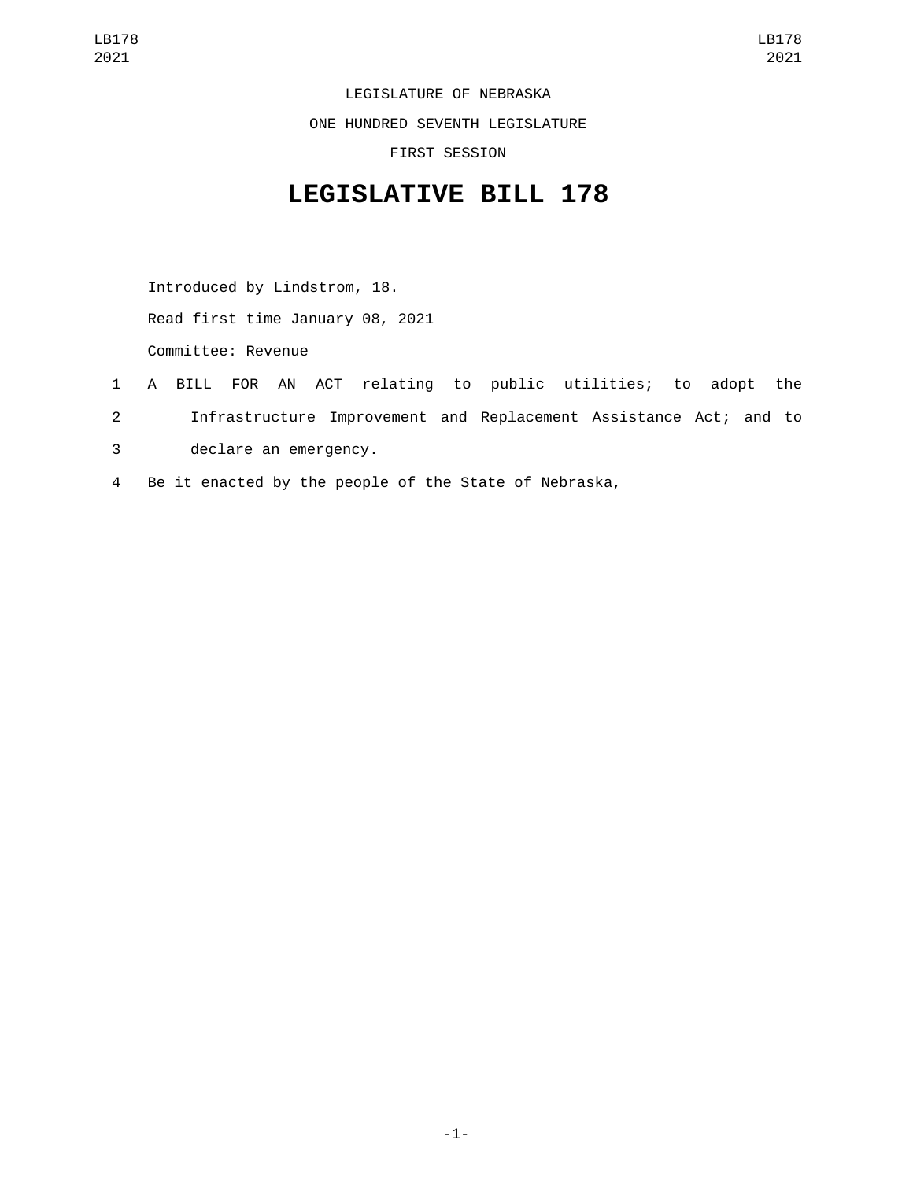LEGISLATURE OF NEBRASKA

ONE HUNDRED SEVENTH LEGISLATURE

FIRST SESSION

## **LEGISLATIVE BILL 178**

Introduced by Lindstrom, 18. Read first time January 08, 2021 Committee: Revenue

- 1 A BILL FOR AN ACT relating to public utilities; to adopt the
- 2 Infrastructure Improvement and Replacement Assistance Act; and to
- 3 declare an emergency.
- 4 Be it enacted by the people of the State of Nebraska,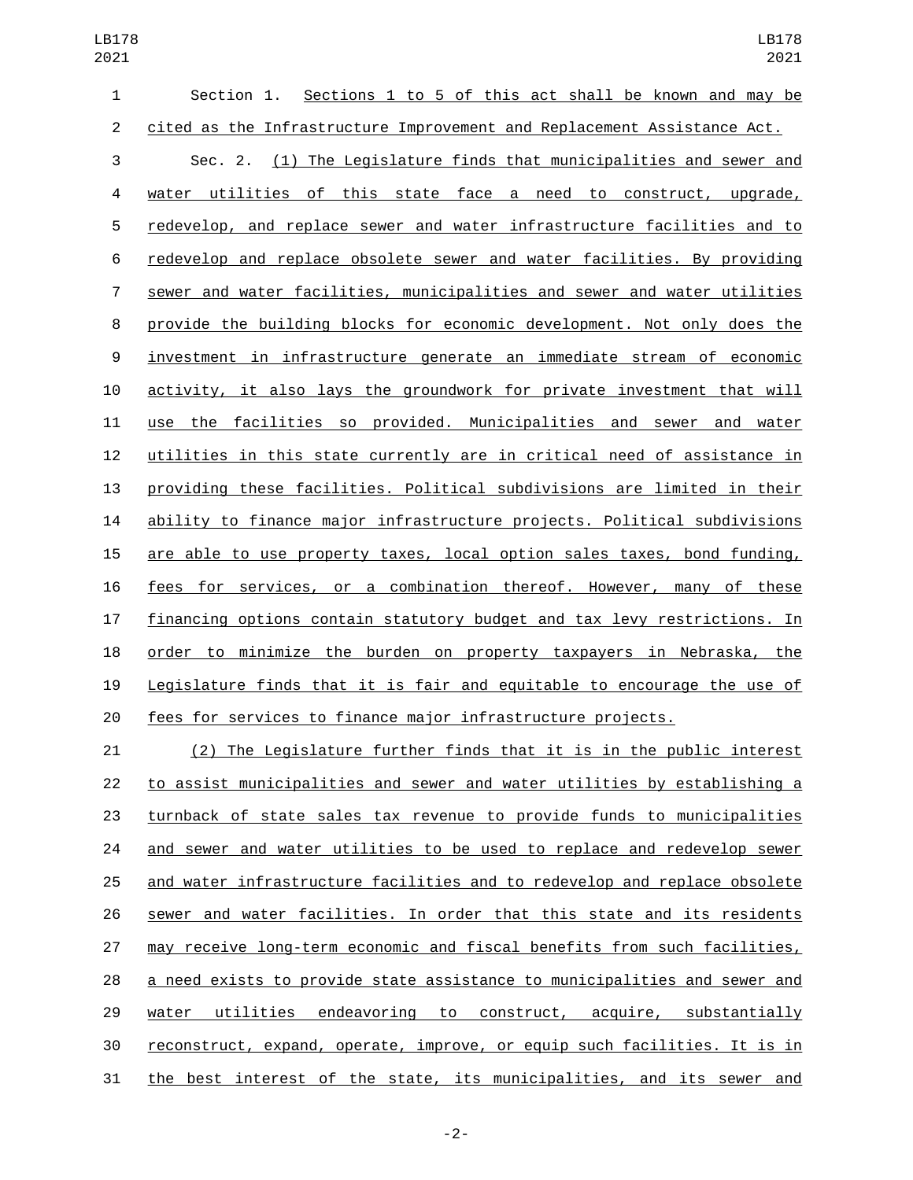| $\mathbf{1}$     | Sections 1 to 5 of this act shall be known and may be<br>Section 1.      |
|------------------|--------------------------------------------------------------------------|
| $\overline{2}$   | cited as the Infrastructure Improvement and Replacement Assistance Act.  |
| 3                | Sec. 2. (1) The Legislature finds that municipalities and sewer and      |
| 4                | water utilities of this state face a need to construct, upgrade,         |
| 5                | redevelop, and replace sewer and water infrastructure facilities and to  |
| 6                | redevelop and replace obsolete sewer and water facilities. By providing  |
| 7                | sewer and water facilities, municipalities and sewer and water utilities |
| 8                | provide the building blocks for economic development. Not only does the  |
| $\boldsymbol{9}$ | investment in infrastructure generate an immediate stream of economic    |
| 10               | activity, it also lays the groundwork for private investment that will   |
| 11               | use the facilities so provided. Municipalities and sewer and water       |
| 12               | utilities in this state currently are in critical need of assistance in  |
| 13               | providing these facilities. Political subdivisions are limited in their  |
| 14               | ability to finance major infrastructure projects. Political subdivisions |
| 15               | are able to use property taxes, local option sales taxes, bond funding,  |
| 16               | fees for services, or a combination thereof. However, many of these      |
| 17               | financing options contain statutory budget and tax levy restrictions. In |
| 18               | order to minimize the burden on property taxpayers in Nebraska, the      |
| 19               | Legislature finds that it is fair and equitable to encourage the use of  |
| 20               | fees for services to finance major infrastructure projects.              |

 (2) The Legislature further finds that it is in the public interest to assist municipalities and sewer and water utilities by establishing a turnback of state sales tax revenue to provide funds to municipalities and sewer and water utilities to be used to replace and redevelop sewer and water infrastructure facilities and to redevelop and replace obsolete sewer and water facilities. In order that this state and its residents may receive long-term economic and fiscal benefits from such facilities, a need exists to provide state assistance to municipalities and sewer and water utilities endeavoring to construct, acquire, substantially reconstruct, expand, operate, improve, or equip such facilities. It is in the best interest of the state, its municipalities, and its sewer and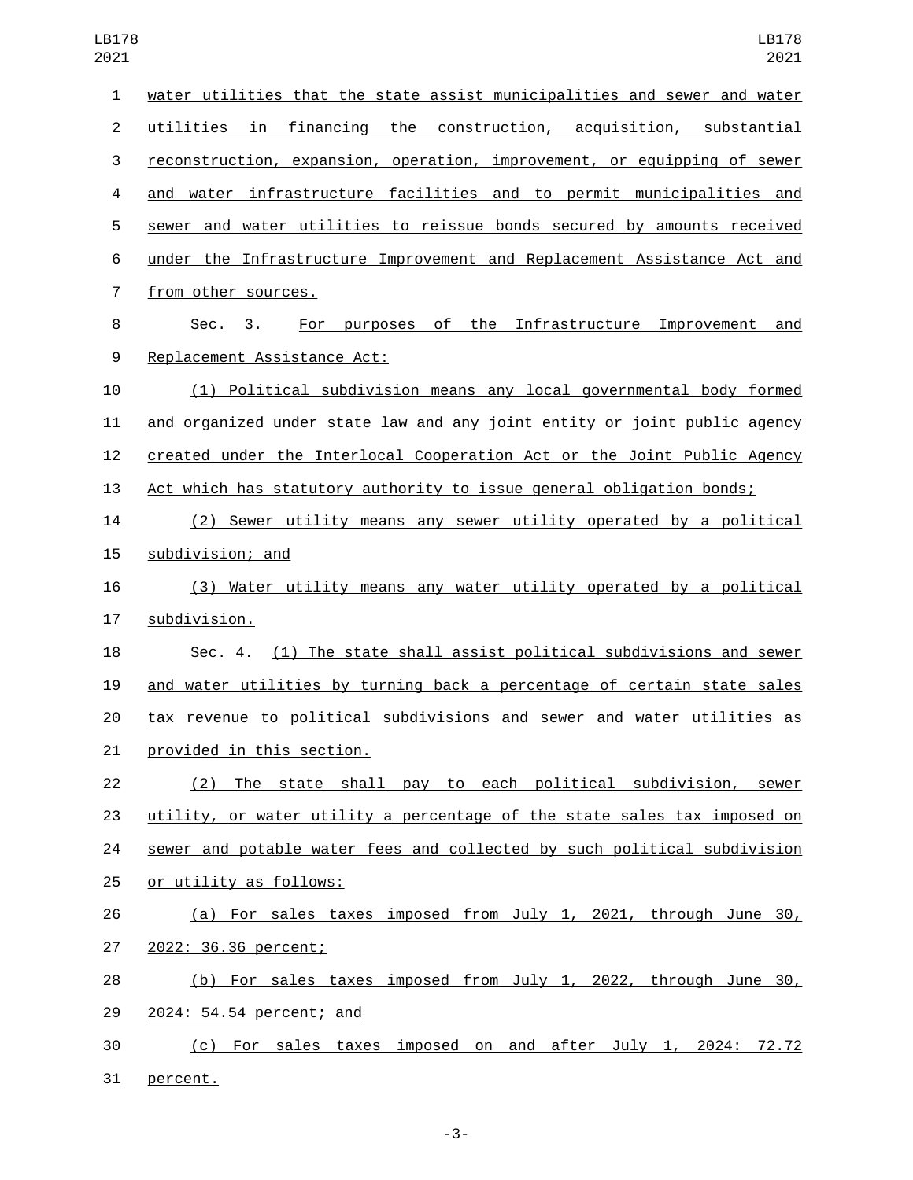| $\mathbf{1}$   | water utilities that the state assist municipalities and sewer and water     |
|----------------|------------------------------------------------------------------------------|
| $\overline{2}$ | utilities in financing the construction, acquisition, substantial            |
| 3              | reconstruction, expansion, operation, improvement, or equipping of sewer     |
| 4              | and water infrastructure facilities and to permit municipalities and         |
| 5              | sewer and water utilities to reissue bonds secured by amounts received       |
| 6              | under the Infrastructure Improvement and Replacement Assistance Act and      |
| 7              | from other sources.                                                          |
| 8              | For purposes of the Infrastructure Improvement and<br>3 <sub>1</sub><br>Sec. |
| 9              | Replacement Assistance Act:                                                  |
| 10             | (1) Political subdivision means any local governmental body formed           |
| 11             | and organized under state law and any joint entity or joint public agency    |
| 12             | created under the Interlocal Cooperation Act or the Joint Public Agency      |
| 13             | Act which has statutory authority to issue general obligation bonds;         |
| 14             | (2) Sewer utility means any sewer utility operated by a political            |
| 15             | subdivision; and                                                             |
| 16             | (3) Water utility means any water utility operated by a political            |
| 17             | subdivision.                                                                 |
| 18             | Sec. 4. (1) The state shall assist political subdivisions and sewer          |
| 19             | and water utilities by turning back a percentage of certain state sales      |
| 20             | tax revenue to political subdivisions and sewer and water utilities as       |
| 21             | provided in this section.                                                    |
| 22             | (2) The state shall pay to each political subdivision, sewer                 |
| 23             | utility, or water utility a percentage of the state sales tax imposed on     |
| 24             | sewer and potable water fees and collected by such political subdivision     |
| 25             | or utility as follows:                                                       |
| 26             | (a) For sales taxes imposed from July 1, 2021, through June 30,              |
| 27             | 2022: 36.36 percent;                                                         |
| 28             | (b) For sales taxes imposed from July 1, 2022, through June 30,              |
| 29             | 2024: 54.54 percent; and                                                     |
| 30             | (c) For sales taxes imposed on and after July 1, 2024: 72.72                 |
| 31             | percent.                                                                     |

-3-